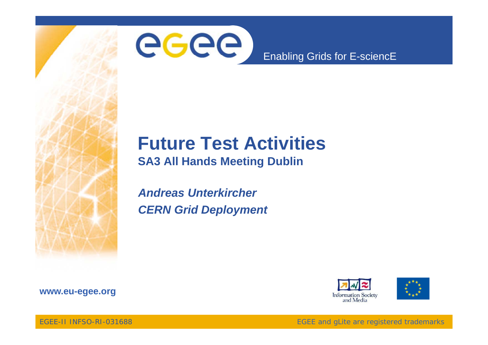

## **Future Test Activities**

**SA3 All Hands Meeting Dublin**

*Andreas UnterkircherCERN Grid Deployment*







EGEE-II INFSO-RI-031688

EGEE and gLite are registered trademarks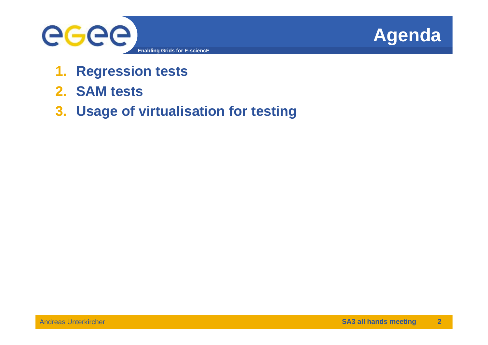



- **1.Regression tests**
- **2. SAM tests**
- **3. Usage of virtualisation for testing**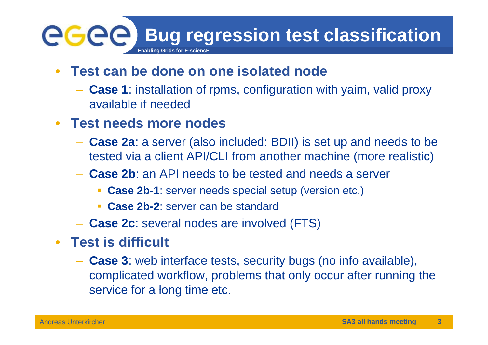## **Bug regression test classification egee Enabling Grids for E-sciencE**

- $\bullet$  **Test can be done on one isolated node**
	- **Case 1**: installation of rpms, configuration with yaim, valid proxy available if needed
- **Test needs more nodes** 
	- **Case 2a**: a server (also included: BDII) is set up and needs to be tested via a client API/CLI from another machine (more realistic)
	- **Case 2b** : an API needs to be tested and needs a server
		- **Case 2b-1**: server needs special setup (version etc.)
		- **Case 2b-2**: server can be standard
	- **Case 2c**: several nodes are involved (FTS)
- **Test is difficult**
	- **Case 3**: web interface tests, security bugs (no info available), complicated workflow, problems that only occur after running the service for a long time etc.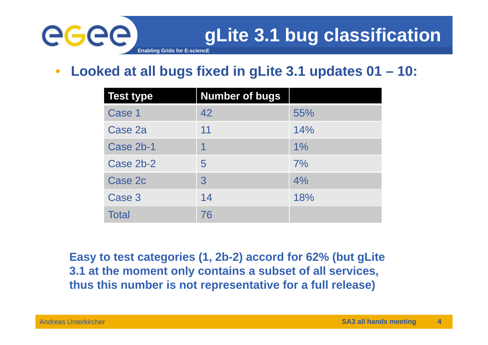

 $\bullet$ **Looked at all bugs fixed in gLite 3.1 updates 01 – 10:**

| <b>Test type</b> | <b>Number of bugs</b> |     |
|------------------|-----------------------|-----|
| Case 1           | 42                    | 55% |
| Case 2a          | 11                    | 14% |
| Case 2b-1        |                       | 1%  |
| Case 2b-2        | 5                     | 7%  |
| Case 2c          | 3                     | 4%  |
| Case 3           | 14                    | 18% |
| <b>Total</b>     | 76                    |     |

**Easy to test categories (1, 2b-2) accord for 62% (but gLite 3.1 at the moment only contains a subset of all services, thus this number is not representative for a full release) p )**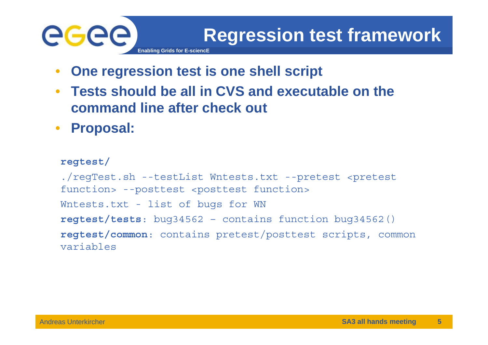## GGG **Enabling Grids for E-sciencE**

- $\bullet$ **One regression test is one shell script**
- $\bullet$  **Tests should be all in CVS and executable on the command line after check out**
- $\bullet$ **Proposal:**

```
regtest/
./regTest.sh --testList Wntests.txt --pretest <pretest 
function> --posttest <posttest function>
Wntests.txt - list of bugs for WN
regtest/tests: bug34562 – contains function bug34562()
regtest/common: contains pretest/posttest scripts, common 
variables
```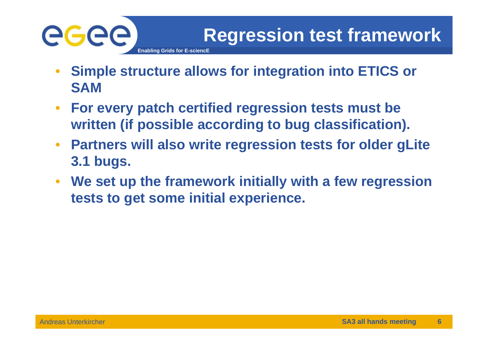

- $\bullet$  **Simple structure allows for integration into ETICS or SAM**
- $\bullet$  **For every patch certified regression tests must be written (if possible according to bug classification).**
- $\bullet$  **Partners will also write regression tests for older gLite 3.1 bugs.**
- $\bullet$  **We set up the framework initially with a few regression tests to get some initial experience.**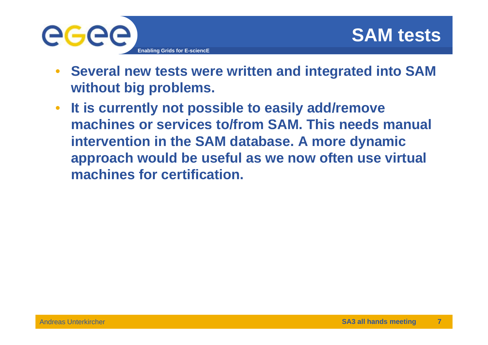

- **Several new tests were written and integrated into SAM without big problems.**
- $\bullet$  **It is currently not possible to easily add/remove machines or services to/from SAM. This needs manual intervention in the SAM database. A more dynamic approach would be useful as we now often use virtual machines for certification certification.**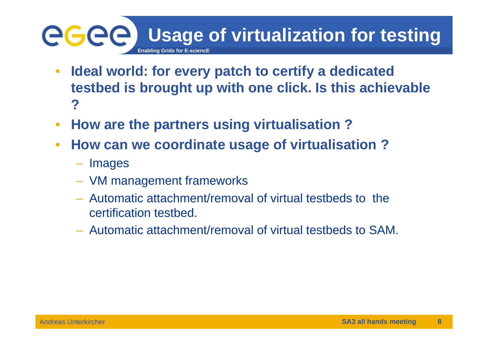## eeee **Usage of virtualization for testing Enabling Grids for E-sciencE**

- $\bullet$  **Ideal world: for every patch to certify a dedicated testbed is brought up with one click. Is this achievable ?**
- $\bullet$ **How are the partners using virtualisation ?**
- • **How can we coordinate usage of virtualisation ?**
	- Images
	- VM management frameworks
	- Automatic attachment/removal of virtual testbeds to the certification testbed.
	- Automatic attachment/removal of virtual testbeds to SAM.